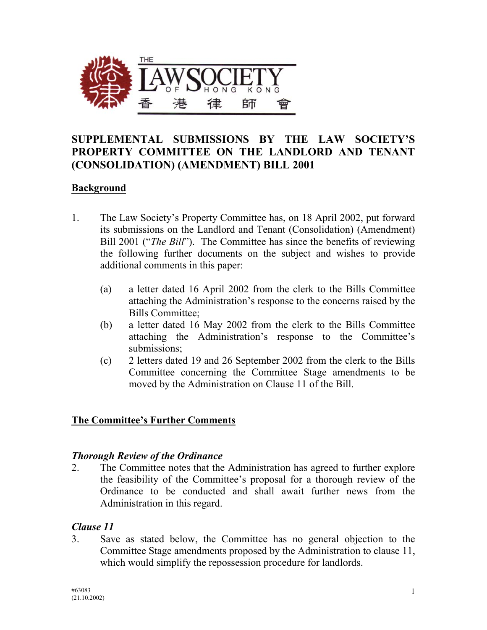

# **SUPPLEMENTAL SUBMISSIONS BY THE LAW SOCIETY'S PROPERTY COMMITTEE ON THE LANDLORD AND TENANT (CONSOLIDATION) (AMENDMENT) BILL 2001**

### **Background**

- 1. The Law Society's Property Committee has, on 18 April 2002, put forward its submissions on the Landlord and Tenant (Consolidation) (Amendment) Bill 2001 ("*The Bill*"). The Committee has since the benefits of reviewing the following further documents on the subject and wishes to provide additional comments in this paper:
	- (a) a letter dated 16 April 2002 from the clerk to the Bills Committee attaching the Administration's response to the concerns raised by the Bills Committee;
	- (b) a letter dated 16 May 2002 from the clerk to the Bills Committee attaching the Administration's response to the Committee's submissions;
	- (c) 2 letters dated 19 and 26 September 2002 from the clerk to the Bills Committee concerning the Committee Stage amendments to be moved by the Administration on Clause 11 of the Bill.

### **The Committee's Further Comments**

### *Thorough Review of the Ordinance*

2. The Committee notes that the Administration has agreed to further explore the feasibility of the Committee's proposal for a thorough review of the Ordinance to be conducted and shall await further news from the Administration in this regard.

### *Clause 11*

3. Save as stated below, the Committee has no general objection to the Committee Stage amendments proposed by the Administration to clause 11, which would simplify the repossession procedure for landlords.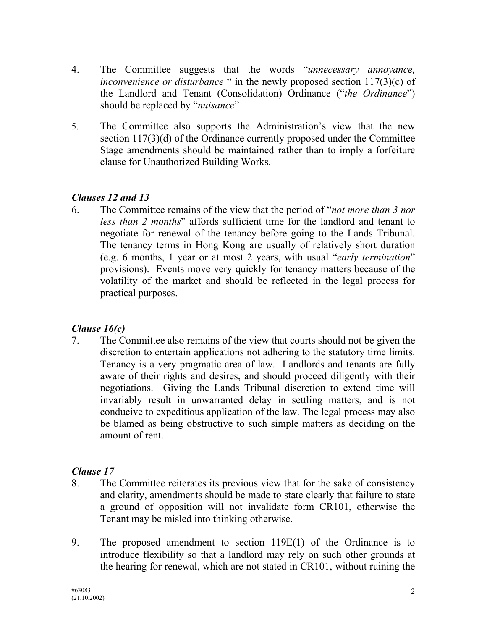- 4. The Committee suggests that the words "*unnecessary annoyance, inconvenience or disturbance* " in the newly proposed section 117(3)(c) of the Landlord and Tenant (Consolidation) Ordinance ("*the Ordinance*") should be replaced by "*nuisance*"
- 5. The Committee also supports the Administration's view that the new section 117(3)(d) of the Ordinance currently proposed under the Committee Stage amendments should be maintained rather than to imply a forfeiture clause for Unauthorized Building Works.

## *Clauses 12 and 13*

6. The Committee remains of the view that the period of "*not more than 3 nor less than 2 months*" affords sufficient time for the landlord and tenant to negotiate for renewal of the tenancy before going to the Lands Tribunal. The tenancy terms in Hong Kong are usually of relatively short duration (e.g. 6 months, 1 year or at most 2 years, with usual "*early termination*" provisions). Events move very quickly for tenancy matters because of the volatility of the market and should be reflected in the legal process for practical purposes.

## *Clause 16(c)*

7. The Committee also remains of the view that courts should not be given the discretion to entertain applications not adhering to the statutory time limits. Tenancy is a very pragmatic area of law. Landlords and tenants are fully aware of their rights and desires, and should proceed diligently with their negotiations. Giving the Lands Tribunal discretion to extend time will invariably result in unwarranted delay in settling matters, and is not conducive to expeditious application of the law. The legal process may also be blamed as being obstructive to such simple matters as deciding on the amount of rent.

## *Clause 17*

- 8. The Committee reiterates its previous view that for the sake of consistency and clarity, amendments should be made to state clearly that failure to state a ground of opposition will not invalidate form CR101, otherwise the Tenant may be misled into thinking otherwise.
- 9. The proposed amendment to section 119E(1) of the Ordinance is to introduce flexibility so that a landlord may rely on such other grounds at the hearing for renewal, which are not stated in CR101, without ruining the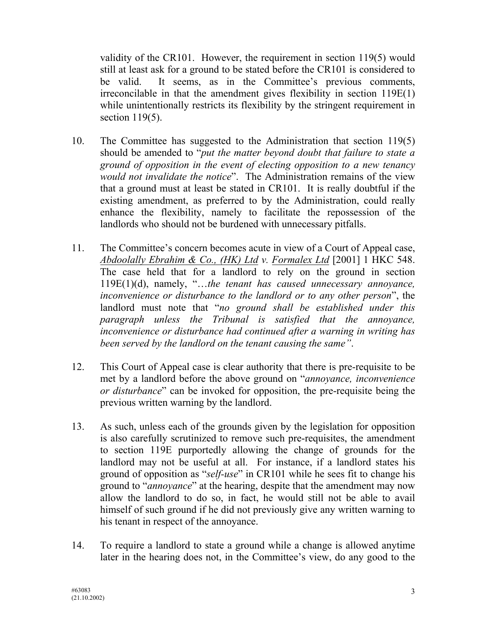validity of the CR101. However, the requirement in section 119(5) would still at least ask for a ground to be stated before the CR101 is considered to be valid. It seems, as in the Committee's previous comments, irreconcilable in that the amendment gives flexibility in section 119E(1) while unintentionally restricts its flexibility by the stringent requirement in section 119(5).

- 10. The Committee has suggested to the Administration that section 119(5) should be amended to "*put the matter beyond doubt that failure to state a ground of opposition in the event of electing opposition to a new tenancy would not invalidate the notice*". The Administration remains of the view that a ground must at least be stated in CR101. It is really doubtful if the existing amendment, as preferred to by the Administration, could really enhance the flexibility, namely to facilitate the repossession of the landlords who should not be burdened with unnecessary pitfalls.
- 11. The Committee's concern becomes acute in view of a Court of Appeal case, *Abdoolally Ebrahim & Co., (HK) Ltd v. Formalex Ltd* [2001] 1 HKC 548. The case held that for a landlord to rely on the ground in section 119E(1)(d), namely, "…*the tenant has caused unnecessary annoyance, inconvenience or disturbance to the landlord or to any other person*", the landlord must note that "*no ground shall be established under this paragraph unless the Tribunal is satisfied that the annoyance, inconvenience or disturbance had continued after a warning in writing has been served by the landlord on the tenant causing the same"*.
- 12. This Court of Appeal case is clear authority that there is pre-requisite to be met by a landlord before the above ground on "*annoyance, inconvenience or disturbance*" can be invoked for opposition, the pre-requisite being the previous written warning by the landlord.
- 13. As such, unless each of the grounds given by the legislation for opposition is also carefully scrutinized to remove such pre-requisites, the amendment to section 119E purportedly allowing the change of grounds for the landlord may not be useful at all. For instance, if a landlord states his ground of opposition as "*self-use*" in CR101 while he sees fit to change his ground to "*annoyance*" at the hearing, despite that the amendment may now allow the landlord to do so, in fact, he would still not be able to avail himself of such ground if he did not previously give any written warning to his tenant in respect of the annoyance.
- 14. To require a landlord to state a ground while a change is allowed anytime later in the hearing does not, in the Committee's view, do any good to the